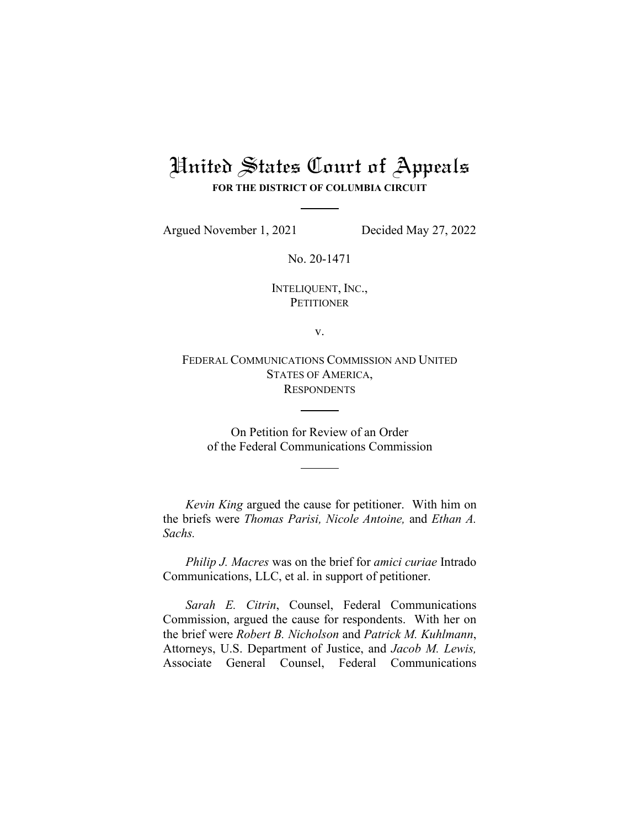# United States Court of Appeals **FOR THE DISTRICT OF COLUMBIA CIRCUIT**

Argued November 1, 2021 Decided May 27, 2022

No. 20-1471

INTELIQUENT, INC., **PETITIONER** 

v.

FEDERAL COMMUNICATIONS COMMISSION AND UNITED STATES OF AMERICA, **RESPONDENTS** 

On Petition for Review of an Order of the Federal Communications Commission

*Kevin King* argued the cause for petitioner. With him on the briefs were *Thomas Parisi, Nicole Antoine,* and *Ethan A. Sachs.* 

*Philip J. Macres* was on the brief for *amici curiae* Intrado Communications, LLC, et al. in support of petitioner.

*Sarah E. Citrin*, Counsel, Federal Communications Commission, argued the cause for respondents. With her on the brief were *Robert B. Nicholson* and *Patrick M. Kuhlmann*, Attorneys, U.S. Department of Justice, and *Jacob M. Lewis,*  Associate General Counsel, Federal Communications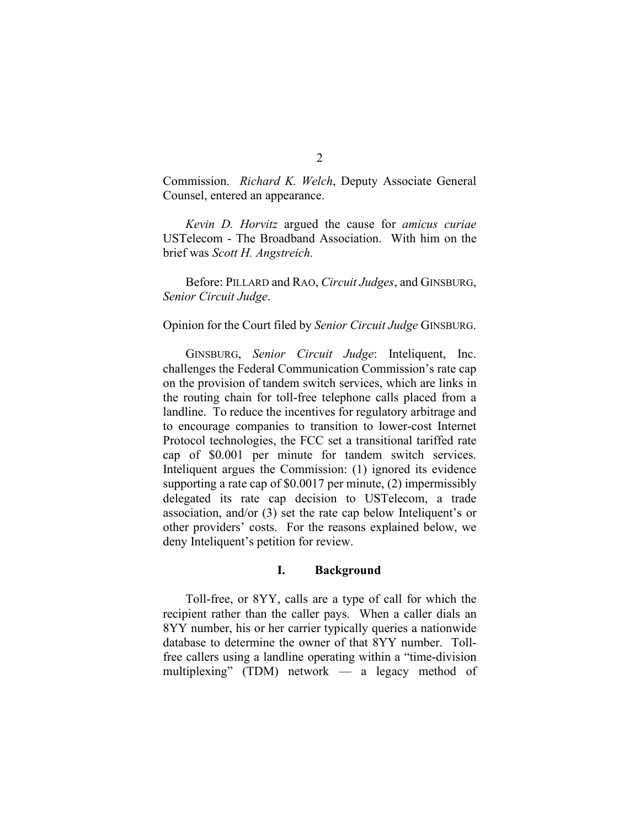Commission. *Richard K. Welch*, Deputy Associate General Counsel, entered an appearance.

*Kevin D. Horvitz* argued the cause for *amicus curiae* USTelecom - The Broadband Association. With him on the brief was *Scott H. Angstreich.* 

Before: PILLARD and RAO, *Circuit Judges*, and GINSBURG, *Senior Circuit Judge*.

#### Opinion for the Court filed by *Senior Circuit Judge* GINSBURG.

GINSBURG, *Senior Circuit Judge*: Inteliquent, Inc. challenges the Federal Communication Commission's rate cap on the provision of tandem switch services, which are links in the routing chain for toll-free telephone calls placed from a landline. To reduce the incentives for regulatory arbitrage and to encourage companies to transition to lower-cost Internet Protocol technologies, the FCC set a transitional tariffed rate cap of \$0.001 per minute for tandem switch services. Inteliquent argues the Commission: (1) ignored its evidence supporting a rate cap of \$0.0017 per minute, (2) impermissibly delegated its rate cap decision to USTelecom, a trade association, and/or (3) set the rate cap below Inteliquent's or other providers' costs. For the reasons explained below, we deny Inteliquent's petition for review.

## **I. Background**

Toll-free, or 8YY, calls are a type of call for which the recipient rather than the caller pays. When a caller dials an 8YY number, his or her carrier typically queries a nationwide database to determine the owner of that 8YY number. Tollfree callers using a landline operating within a "time-division multiplexing" (TDM) network — a legacy method of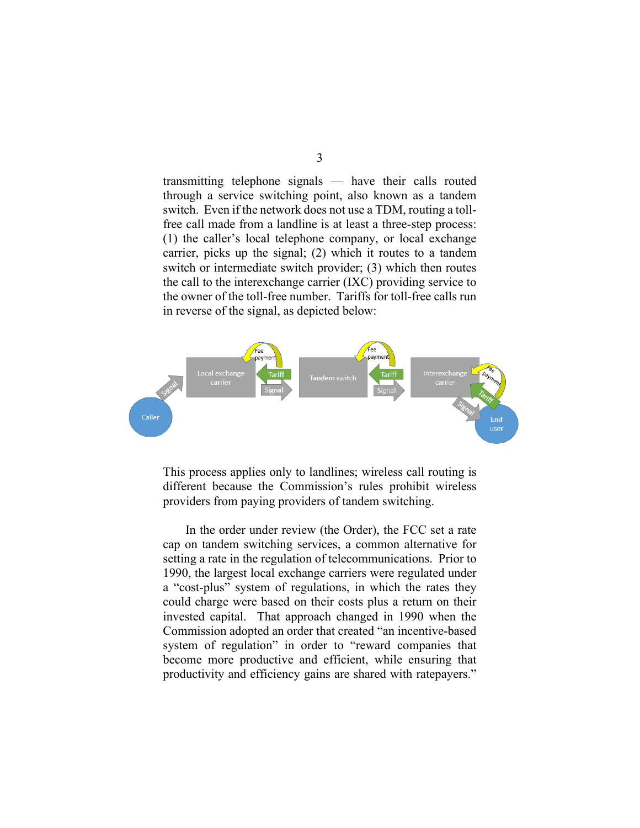3

transmitting telephone signals — have their calls routed through a service switching point, also known as a tandem switch. Even if the network does not use a TDM, routing a tollfree call made from a landline is at least a three-step process: (1) the caller's local telephone company, or local exchange carrier, picks up the signal; (2) which it routes to a tandem switch or intermediate switch provider; (3) which then routes the call to the interexchange carrier (IXC) providing service to the owner of the toll-free number. Tariffs for toll-free calls run in reverse of the signal, as depicted below:



This process applies only to landlines; wireless call routing is different because the Commission's rules prohibit wireless providers from paying providers of tandem switching.

In the order under review (the Order), the FCC set a rate cap on tandem switching services, a common alternative for setting a rate in the regulation of telecommunications. Prior to 1990, the largest local exchange carriers were regulated under a "cost-plus" system of regulations, in which the rates they could charge were based on their costs plus a return on their invested capital. That approach changed in 1990 when the Commission adopted an order that created "an incentive-based system of regulation" in order to "reward companies that become more productive and efficient, while ensuring that productivity and efficiency gains are shared with ratepayers."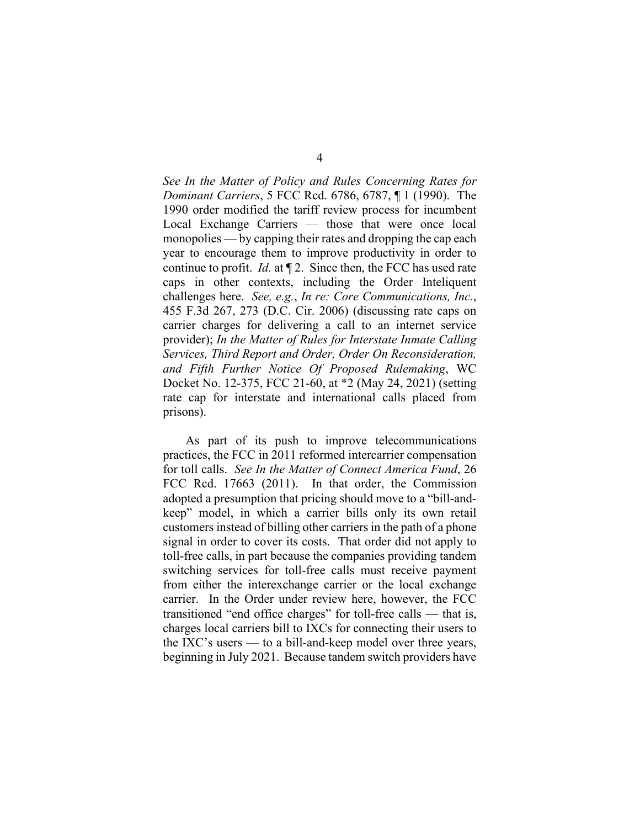*See In the Matter of Policy and Rules Concerning Rates for Dominant Carriers*, 5 FCC Rcd. 6786, 6787, ¶ 1 (1990). The 1990 order modified the tariff review process for incumbent Local Exchange Carriers — those that were once local monopolies — by capping their rates and dropping the cap each year to encourage them to improve productivity in order to continue to profit. *Id.* at ¶ 2. Since then, the FCC has used rate caps in other contexts, including the Order Inteliquent challenges here. *See, e.g.*, *In re: Core Communications, Inc.*, 455 F.3d 267, 273 (D.C. Cir. 2006) (discussing rate caps on carrier charges for delivering a call to an internet service provider); *In the Matter of Rules for Interstate Inmate Calling Services, Third Report and Order, Order On Reconsideration, and Fifth Further Notice Of Proposed Rulemaking*, WC Docket No. 12-375, FCC 21-60, at \*2 (May 24, 2021) (setting rate cap for interstate and international calls placed from prisons).

As part of its push to improve telecommunications practices, the FCC in 2011 reformed intercarrier compensation for toll calls. *See In the Matter of Connect America Fund*, 26 FCC Rcd. 17663 (2011). In that order, the Commission adopted a presumption that pricing should move to a "bill-andkeep" model, in which a carrier bills only its own retail customers instead of billing other carriers in the path of a phone signal in order to cover its costs. That order did not apply to toll-free calls, in part because the companies providing tandem switching services for toll-free calls must receive payment from either the interexchange carrier or the local exchange carrier. In the Order under review here, however, the FCC transitioned "end office charges" for toll-free calls — that is, charges local carriers bill to IXCs for connecting their users to the IXC's users — to a bill-and-keep model over three years, beginning in July 2021. Because tandem switch providers have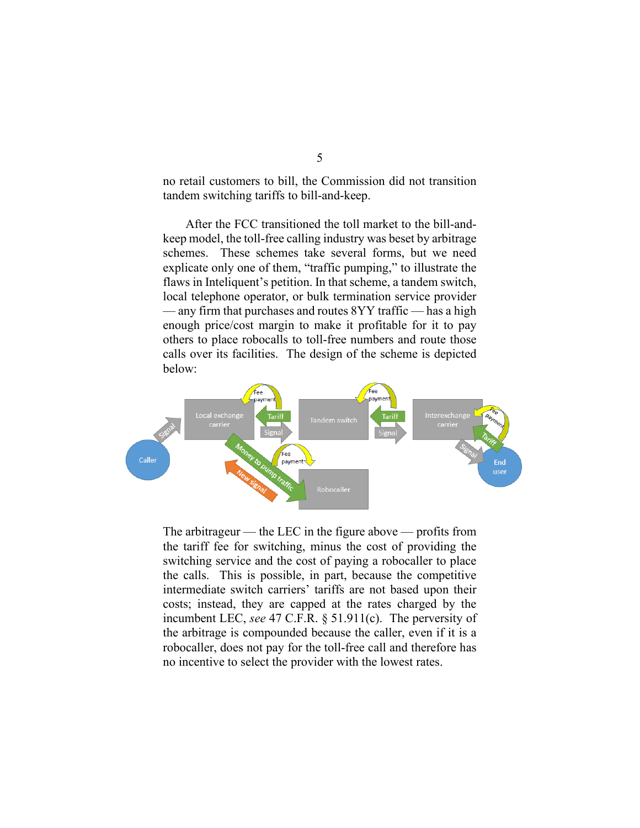no retail customers to bill, the Commission did not transition tandem switching tariffs to bill-and-keep.

After the FCC transitioned the toll market to the bill-andkeep model, the toll-free calling industry was beset by arbitrage schemes. These schemes take several forms, but we need explicate only one of them, "traffic pumping," to illustrate the flaws in Inteliquent's petition. In that scheme, a tandem switch, local telephone operator, or bulk termination service provider — any firm that purchases and routes 8YY traffic — has a high enough price/cost margin to make it profitable for it to pay others to place robocalls to toll-free numbers and route those calls over its facilities. The design of the scheme is depicted below:



The arbitrageur — the LEC in the figure above — profits from the tariff fee for switching, minus the cost of providing the switching service and the cost of paying a robocaller to place the calls. This is possible, in part, because the competitive intermediate switch carriers' tariffs are not based upon their costs; instead, they are capped at the rates charged by the incumbent LEC, *see* 47 C.F.R. § 51.911(c). The perversity of the arbitrage is compounded because the caller, even if it is a robocaller, does not pay for the toll-free call and therefore has no incentive to select the provider with the lowest rates.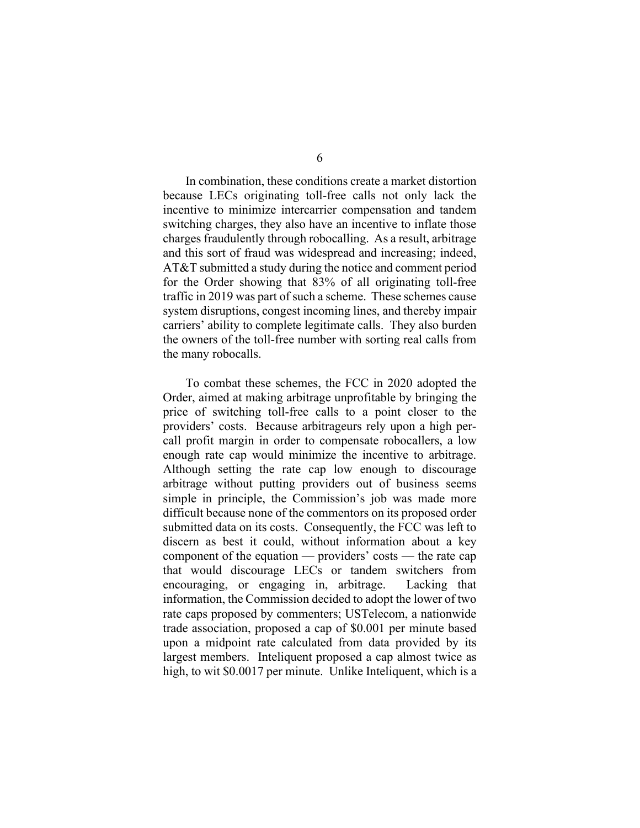In combination, these conditions create a market distortion because LECs originating toll-free calls not only lack the incentive to minimize intercarrier compensation and tandem switching charges, they also have an incentive to inflate those charges fraudulently through robocalling. As a result, arbitrage and this sort of fraud was widespread and increasing; indeed, AT&T submitted a study during the notice and comment period for the Order showing that 83% of all originating toll-free traffic in 2019 was part of such a scheme. These schemes cause system disruptions, congest incoming lines, and thereby impair carriers' ability to complete legitimate calls. They also burden the owners of the toll-free number with sorting real calls from the many robocalls.

To combat these schemes, the FCC in 2020 adopted the Order, aimed at making arbitrage unprofitable by bringing the price of switching toll-free calls to a point closer to the providers' costs. Because arbitrageurs rely upon a high percall profit margin in order to compensate robocallers, a low enough rate cap would minimize the incentive to arbitrage. Although setting the rate cap low enough to discourage arbitrage without putting providers out of business seems simple in principle, the Commission's job was made more difficult because none of the commentors on its proposed order submitted data on its costs. Consequently, the FCC was left to discern as best it could, without information about a key component of the equation — providers' costs — the rate cap that would discourage LECs or tandem switchers from encouraging, or engaging in, arbitrage. Lacking that information, the Commission decided to adopt the lower of two rate caps proposed by commenters; USTelecom, a nationwide trade association, proposed a cap of \$0.001 per minute based upon a midpoint rate calculated from data provided by its largest members. Inteliquent proposed a cap almost twice as high, to wit \$0.0017 per minute. Unlike Inteliquent, which is a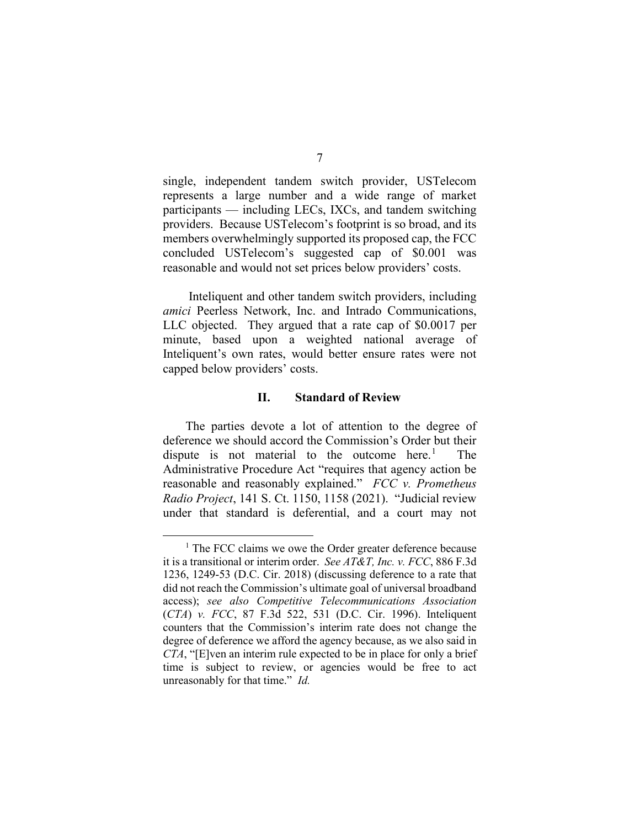single, independent tandem switch provider, USTelecom represents a large number and a wide range of market participants — including LECs, IXCs, and tandem switching providers. Because USTelecom's footprint is so broad, and its members overwhelmingly supported its proposed cap, the FCC concluded USTelecom's suggested cap of \$0.001 was reasonable and would not set prices below providers' costs.

Inteliquent and other tandem switch providers, including *amici* Peerless Network, Inc. and Intrado Communications, LLC objected. They argued that a rate cap of \$0.0017 per minute, based upon a weighted national average of Inteliquent's own rates, would better ensure rates were not capped below providers' costs.

# **II. Standard of Review**

The parties devote a lot of attention to the degree of deference we should accord the Commission's Order but their dispute is not material to the outcome here.<sup>1</sup> **The** Administrative Procedure Act "requires that agency action be reasonable and reasonably explained." *FCC v. Prometheus Radio Project*, 141 S. Ct. 1150, 1158 (2021). "Judicial review under that standard is deferential, and a court may not

<span id="page-6-0"></span><sup>&</sup>lt;sup>1</sup> The FCC claims we owe the Order greater deference because it is a transitional or interim order. *See AT&T, Inc. v. FCC*, 886 F.3d 1236, 1249-53 (D.C. Cir. 2018) (discussing deference to a rate that did not reach the Commission's ultimate goal of universal broadband access); *see also Competitive Telecommunications Association*  (*CTA*) *v. FCC*, 87 F.3d 522, 531 (D.C. Cir. 1996). Inteliquent counters that the Commission's interim rate does not change the degree of deference we afford the agency because, as we also said in *CTA*, "[E]ven an interim rule expected to be in place for only a brief time is subject to review, or agencies would be free to act unreasonably for that time." *Id.*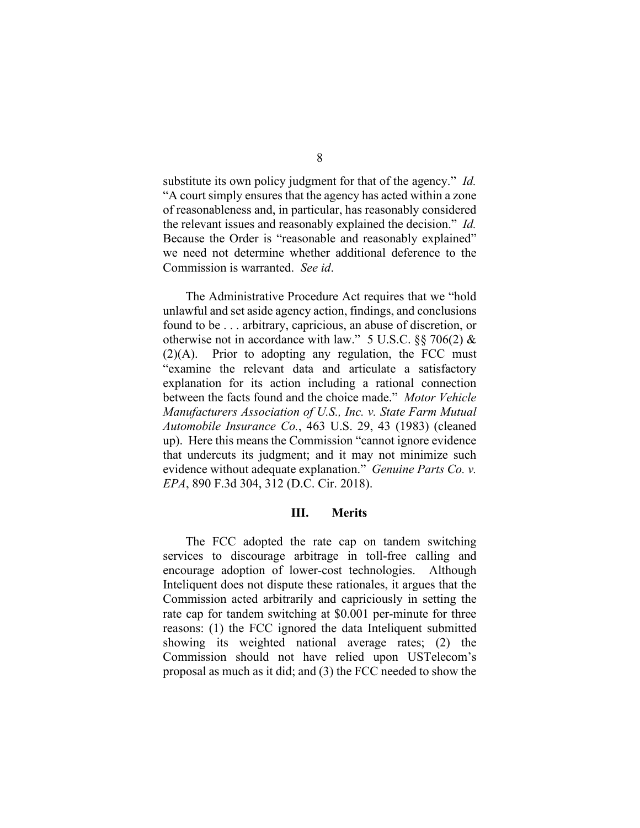substitute its own policy judgment for that of the agency." *Id.* "A court simply ensures that the agency has acted within a zone of reasonableness and, in particular, has reasonably considered the relevant issues and reasonably explained the decision." *Id.* Because the Order is "reasonable and reasonably explained" we need not determine whether additional deference to the Commission is warranted. *See id*.

The Administrative Procedure Act requires that we "hold unlawful and set aside agency action, findings, and conclusions found to be . . . arbitrary, capricious, an abuse of discretion, or otherwise not in accordance with law." 5 U.S.C.  $\S$ § 706(2) &  $(2)(A)$ . Prior to adopting any regulation, the FCC must "examine the relevant data and articulate a satisfactory explanation for its action including a rational connection between the facts found and the choice made." *Motor Vehicle Manufacturers Association of U.S., Inc. v. State Farm Mutual Automobile Insurance Co.*, 463 U.S. 29, 43 (1983) (cleaned up). Here this means the Commission "cannot ignore evidence that undercuts its judgment; and it may not minimize such evidence without adequate explanation." *Genuine Parts Co. v. EPA*, 890 F.3d 304, 312 (D.C. Cir. 2018).

## **III. Merits**

The FCC adopted the rate cap on tandem switching services to discourage arbitrage in toll-free calling and encourage adoption of lower-cost technologies. Although Inteliquent does not dispute these rationales, it argues that the Commission acted arbitrarily and capriciously in setting the rate cap for tandem switching at \$0.001 per-minute for three reasons: (1) the FCC ignored the data Inteliquent submitted showing its weighted national average rates; (2) the Commission should not have relied upon USTelecom's proposal as much as it did; and (3) the FCC needed to show the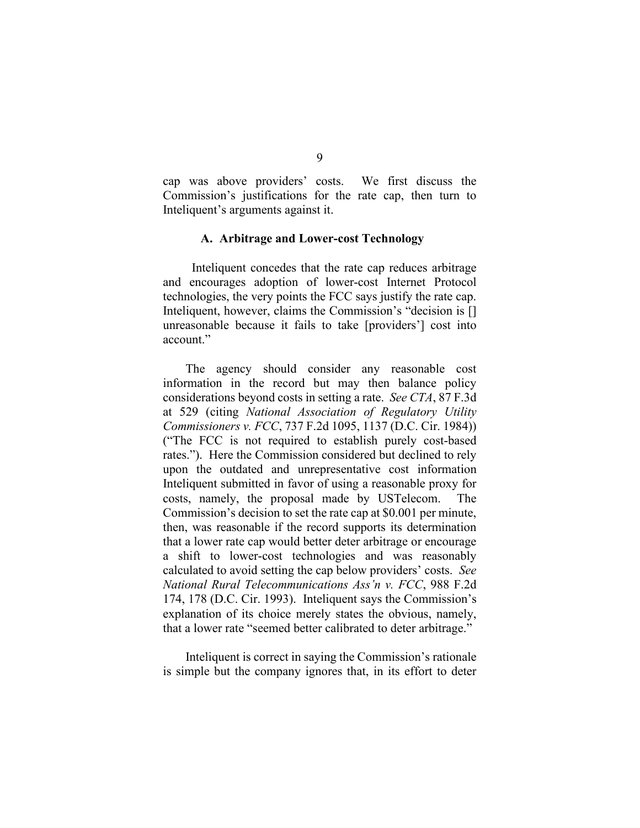cap was above providers' costs. We first discuss the Commission's justifications for the rate cap, then turn to Inteliquent's arguments against it.

#### **A. Arbitrage and Lower-cost Technology**

Inteliquent concedes that the rate cap reduces arbitrage and encourages adoption of lower-cost Internet Protocol technologies, the very points the FCC says justify the rate cap. Inteliquent, however, claims the Commission's "decision is [] unreasonable because it fails to take [providers'] cost into account."

The agency should consider any reasonable cost information in the record but may then balance policy considerations beyond costs in setting a rate. *See CTA*, 87 F.3d at 529 (citing *National Association of Regulatory Utility Commissioners v. FCC*, 737 F.2d 1095, 1137 (D.C. Cir. 1984)) ("The FCC is not required to establish purely cost-based rates."). Here the Commission considered but declined to rely upon the outdated and unrepresentative cost information Inteliquent submitted in favor of using a reasonable proxy for costs, namely, the proposal made by USTelecom. The Commission's decision to set the rate cap at \$0.001 per minute, then, was reasonable if the record supports its determination that a lower rate cap would better deter arbitrage or encourage a shift to lower-cost technologies and was reasonably calculated to avoid setting the cap below providers' costs. *See National Rural Telecommunications Ass'n v. FCC*, 988 F.2d 174, 178 (D.C. Cir. 1993). Inteliquent says the Commission's explanation of its choice merely states the obvious, namely, that a lower rate "seemed better calibrated to deter arbitrage."

Inteliquent is correct in saying the Commission's rationale is simple but the company ignores that, in its effort to deter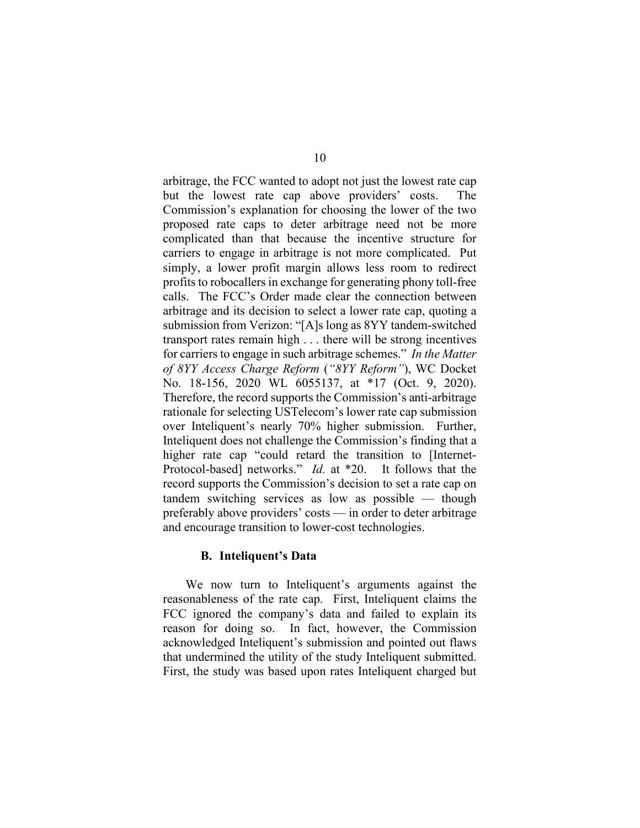arbitrage, the FCC wanted to adopt not just the lowest rate cap but the lowest rate cap above providers' costs. The Commission's explanation for choosing the lower of the two proposed rate caps to deter arbitrage need not be more complicated than that because the incentive structure for carriers to engage in arbitrage is not more complicated. Put simply, a lower profit margin allows less room to redirect profits to robocallers in exchange for generating phony toll-free calls. The FCC's Order made clear the connection between arbitrage and its decision to select a lower rate cap, quoting a submission from Verizon: "[A]s long as 8YY tandem-switched transport rates remain high . . . there will be strong incentives for carriers to engage in such arbitrage schemes." *In the Matter of 8YY Access Charge Reform* (*"8YY Reform"*), WC Docket No. 18-156, 2020 WL 6055137, at \*17 (Oct. 9, 2020). Therefore, the record supports the Commission's anti-arbitrage rationale for selecting USTelecom's lower rate cap submission over Inteliquent's nearly 70% higher submission. Further, Inteliquent does not challenge the Commission's finding that a higher rate cap "could retard the transition to [Internet-Protocol-based] networks." *Id.* at \*20.It follows that the record supports the Commission's decision to set a rate cap on tandem switching services as low as possible — though preferably above providers' costs — in order to deter arbitrage and encourage transition to lower-cost technologies.

# **B. Inteliquent's Data**

We now turn to Inteliquent's arguments against the reasonableness of the rate cap. First, Inteliquent claims the FCC ignored the company's data and failed to explain its reason for doing so. In fact, however, the Commission acknowledged Inteliquent's submission and pointed out flaws that undermined the utility of the study Inteliquent submitted. First, the study was based upon rates Inteliquent charged but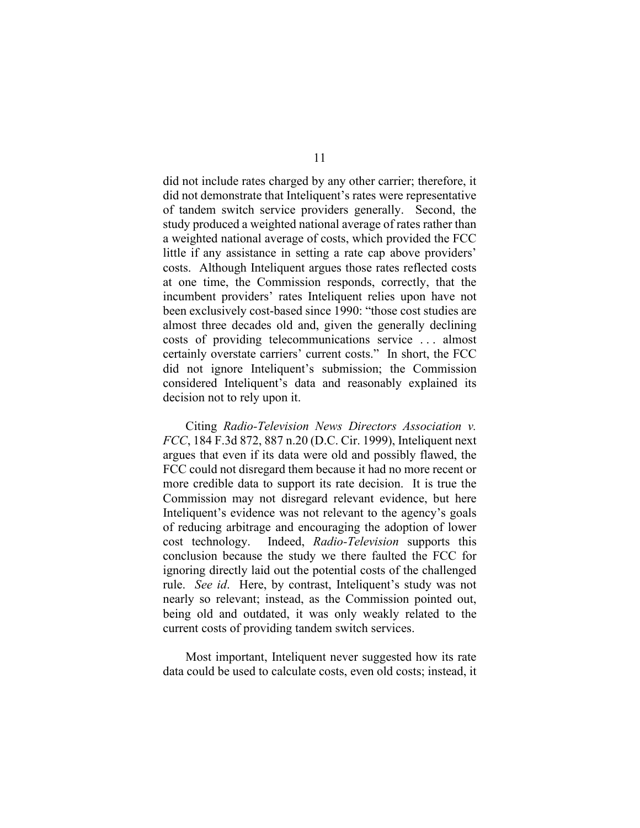did not include rates charged by any other carrier; therefore, it did not demonstrate that Inteliquent's rates were representative of tandem switch service providers generally. Second, the study produced a weighted national average of rates rather than a weighted national average of costs, which provided the FCC little if any assistance in setting a rate cap above providers' costs. Although Inteliquent argues those rates reflected costs at one time, the Commission responds, correctly, that the incumbent providers' rates Inteliquent relies upon have not been exclusively cost-based since 1990: "those cost studies are almost three decades old and, given the generally declining costs of providing telecommunications service . . . almost certainly overstate carriers' current costs." In short, the FCC did not ignore Inteliquent's submission; the Commission considered Inteliquent's data and reasonably explained its decision not to rely upon it.

Citing *Radio-Television News Directors Association v. FCC*, 184 F.3d 872, 887 n.20 (D.C. Cir. 1999), Inteliquent next argues that even if its data were old and possibly flawed, the FCC could not disregard them because it had no more recent or more credible data to support its rate decision. It is true the Commission may not disregard relevant evidence, but here Inteliquent's evidence was not relevant to the agency's goals of reducing arbitrage and encouraging the adoption of lower cost technology. Indeed, *Radio-Television* supports this conclusion because the study we there faulted the FCC for ignoring directly laid out the potential costs of the challenged rule. *See id*. Here, by contrast, Inteliquent's study was not nearly so relevant; instead, as the Commission pointed out, being old and outdated, it was only weakly related to the current costs of providing tandem switch services.

Most important, Inteliquent never suggested how its rate data could be used to calculate costs, even old costs; instead, it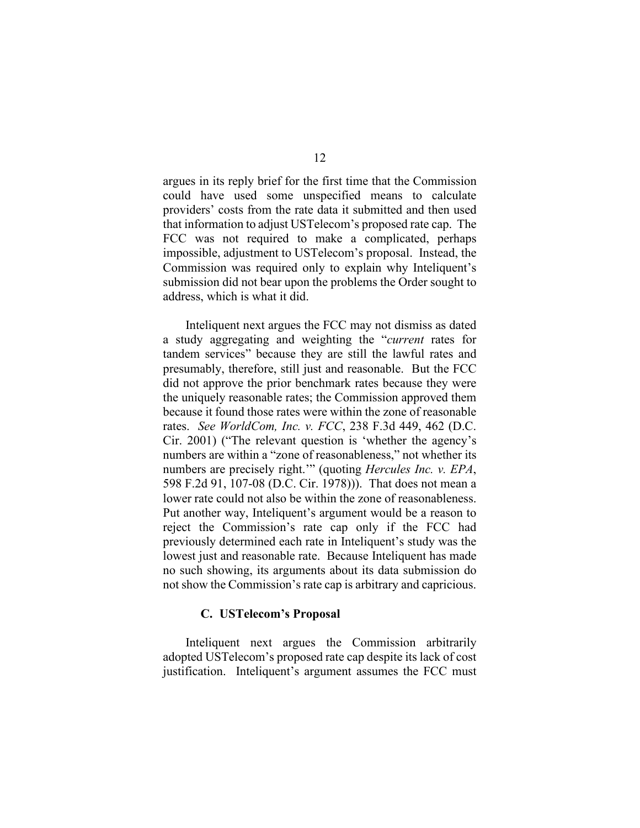argues in its reply brief for the first time that the Commission could have used some unspecified means to calculate providers' costs from the rate data it submitted and then used that information to adjust USTelecom's proposed rate cap. The FCC was not required to make a complicated, perhaps impossible, adjustment to USTelecom's proposal. Instead, the Commission was required only to explain why Inteliquent's submission did not bear upon the problems the Order sought to address, which is what it did.

Inteliquent next argues the FCC may not dismiss as dated a study aggregating and weighting the "*current* rates for tandem services" because they are still the lawful rates and presumably, therefore, still just and reasonable. But the FCC did not approve the prior benchmark rates because they were the uniquely reasonable rates; the Commission approved them because it found those rates were within the zone of reasonable rates. *See WorldCom, Inc. v. FCC*, 238 F.3d 449, 462 (D.C. Cir. 2001) ("The relevant question is 'whether the agency's numbers are within a "zone of reasonableness," not whether its numbers are precisely right.'" (quoting *Hercules Inc. v. EPA*, 598 F.2d 91, 107-08 (D.C. Cir. 1978))). That does not mean a lower rate could not also be within the zone of reasonableness. Put another way, Inteliquent's argument would be a reason to reject the Commission's rate cap only if the FCC had previously determined each rate in Inteliquent's study was the lowest just and reasonable rate. Because Inteliquent has made no such showing, its arguments about its data submission do not show the Commission's rate cap is arbitrary and capricious.

## **C. USTelecom's Proposal**

Inteliquent next argues the Commission arbitrarily adopted USTelecom's proposed rate cap despite its lack of cost justification. Inteliquent's argument assumes the FCC must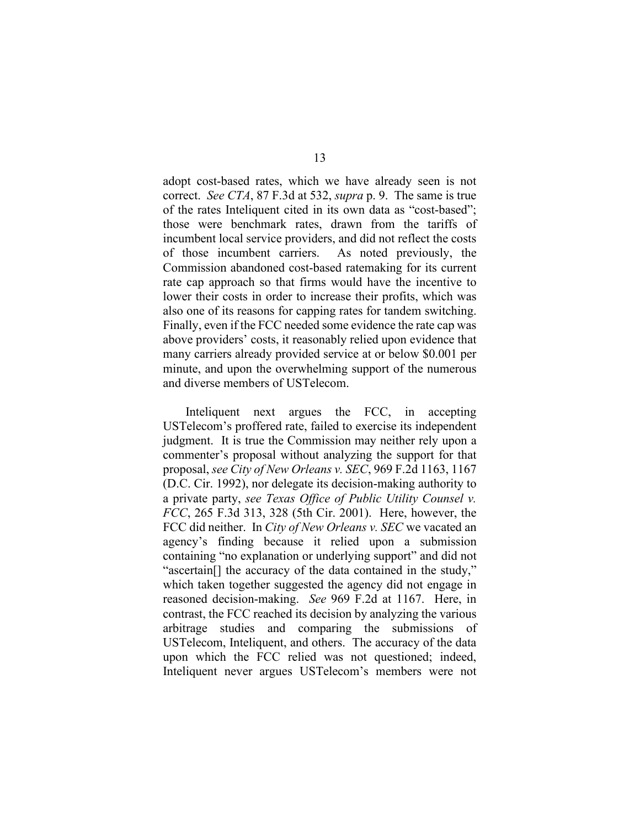adopt cost-based rates, which we have already seen is not correct. *See CTA*, 87 F.3d at 532, *supra* p. 9. The same is true of the rates Inteliquent cited in its own data as "cost-based"; those were benchmark rates, drawn from the tariffs of incumbent local service providers, and did not reflect the costs of those incumbent carriers. As noted previously, the Commission abandoned cost-based ratemaking for its current rate cap approach so that firms would have the incentive to lower their costs in order to increase their profits, which was also one of its reasons for capping rates for tandem switching. Finally, even if the FCC needed some evidence the rate cap was above providers' costs, it reasonably relied upon evidence that many carriers already provided service at or below \$0.001 per minute, and upon the overwhelming support of the numerous and diverse members of USTelecom.

Inteliquent next argues the FCC, in accepting USTelecom's proffered rate, failed to exercise its independent judgment. It is true the Commission may neither rely upon a commenter's proposal without analyzing the support for that proposal, *see City of New Orleans v. SEC*, 969 F.2d 1163, 1167 (D.C. Cir. 1992), nor delegate its decision-making authority to a private party, *see Texas Office of Public Utility Counsel v. FCC*, 265 F.3d 313, 328 (5th Cir. 2001). Here, however, the FCC did neither. In *City of New Orleans v. SEC* we vacated an agency's finding because it relied upon a submission containing "no explanation or underlying support" and did not "ascertain[] the accuracy of the data contained in the study," which taken together suggested the agency did not engage in reasoned decision-making. *See* 969 F.2d at 1167. Here, in contrast, the FCC reached its decision by analyzing the various arbitrage studies and comparing the submissions of USTelecom, Inteliquent, and others. The accuracy of the data upon which the FCC relied was not questioned; indeed, Inteliquent never argues USTelecom's members were not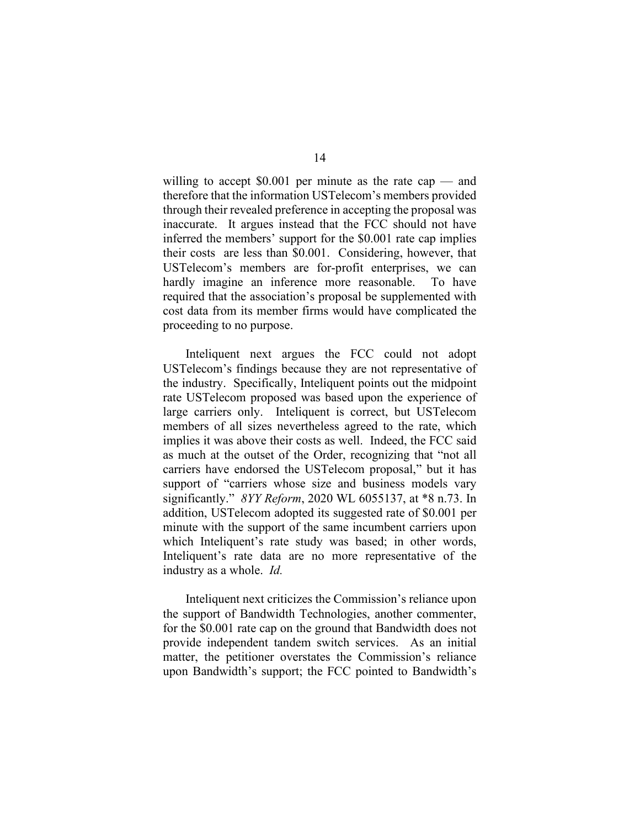willing to accept \$0.001 per minute as the rate cap — and therefore that the information USTelecom's members provided through their revealed preference in accepting the proposal was inaccurate. It argues instead that the FCC should not have inferred the members' support for the \$0.001 rate cap implies their costs are less than \$0.001. Considering, however, that USTelecom's members are for-profit enterprises, we can hardly imagine an inference more reasonable. To have required that the association's proposal be supplemented with cost data from its member firms would have complicated the proceeding to no purpose.

Inteliquent next argues the FCC could not adopt USTelecom's findings because they are not representative of the industry. Specifically, Inteliquent points out the midpoint rate USTelecom proposed was based upon the experience of large carriers only. Inteliquent is correct, but USTelecom members of all sizes nevertheless agreed to the rate, which implies it was above their costs as well. Indeed, the FCC said as much at the outset of the Order, recognizing that "not all carriers have endorsed the USTelecom proposal," but it has support of "carriers whose size and business models vary significantly." *8YY Reform*, 2020 WL 6055137, at \*8 n.73. In addition, USTelecom adopted its suggested rate of \$0.001 per minute with the support of the same incumbent carriers upon which Inteliquent's rate study was based; in other words, Inteliquent's rate data are no more representative of the industry as a whole. *Id.* 

Inteliquent next criticizes the Commission's reliance upon the support of Bandwidth Technologies, another commenter, for the \$0.001 rate cap on the ground that Bandwidth does not provide independent tandem switch services. As an initial matter, the petitioner overstates the Commission's reliance upon Bandwidth's support; the FCC pointed to Bandwidth's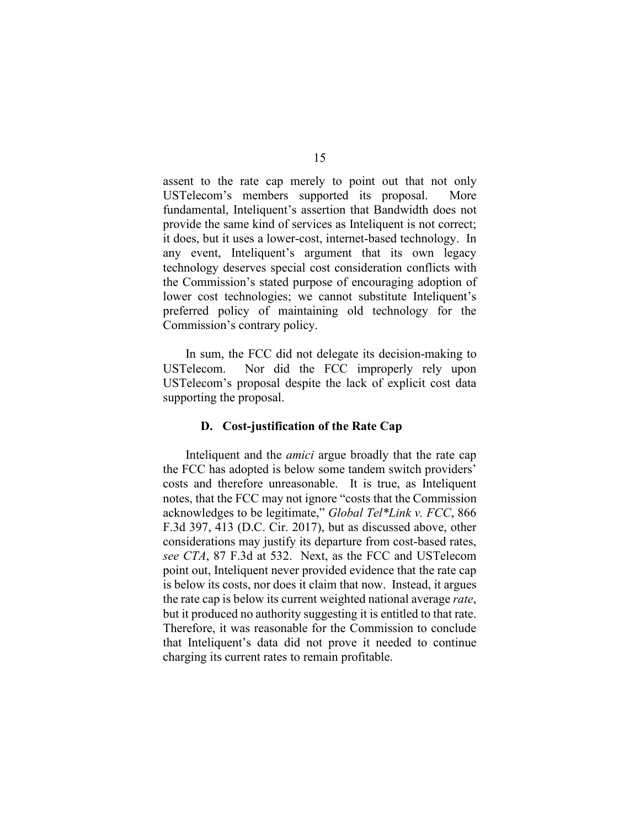assent to the rate cap merely to point out that not only USTelecom's members supported its proposal. More fundamental, Inteliquent's assertion that Bandwidth does not provide the same kind of services as Inteliquent is not correct; it does, but it uses a lower-cost, internet-based technology. In any event, Inteliquent's argument that its own legacy technology deserves special cost consideration conflicts with the Commission's stated purpose of encouraging adoption of lower cost technologies; we cannot substitute Inteliquent's preferred policy of maintaining old technology for the Commission's contrary policy.

In sum, the FCC did not delegate its decision-making to USTelecom. Nor did the FCC improperly rely upon USTelecom's proposal despite the lack of explicit cost data supporting the proposal.

# **D. Cost-justification of the Rate Cap**

Inteliquent and the *amici* argue broadly that the rate cap the FCC has adopted is below some tandem switch providers' costs and therefore unreasonable. It is true, as Inteliquent notes, that the FCC may not ignore "costs that the Commission acknowledges to be legitimate," *Global Tel\*Link v. FCC*, 866 F.3d 397, 413 (D.C. Cir. 2017), but as discussed above, other considerations may justify its departure from cost-based rates, *see CTA*, 87 F.3d at 532. Next, as the FCC and USTelecom point out, Inteliquent never provided evidence that the rate cap is below its costs, nor does it claim that now. Instead, it argues the rate cap is below its current weighted national average *rate*, but it produced no authority suggesting it is entitled to that rate. Therefore, it was reasonable for the Commission to conclude that Inteliquent's data did not prove it needed to continue charging its current rates to remain profitable.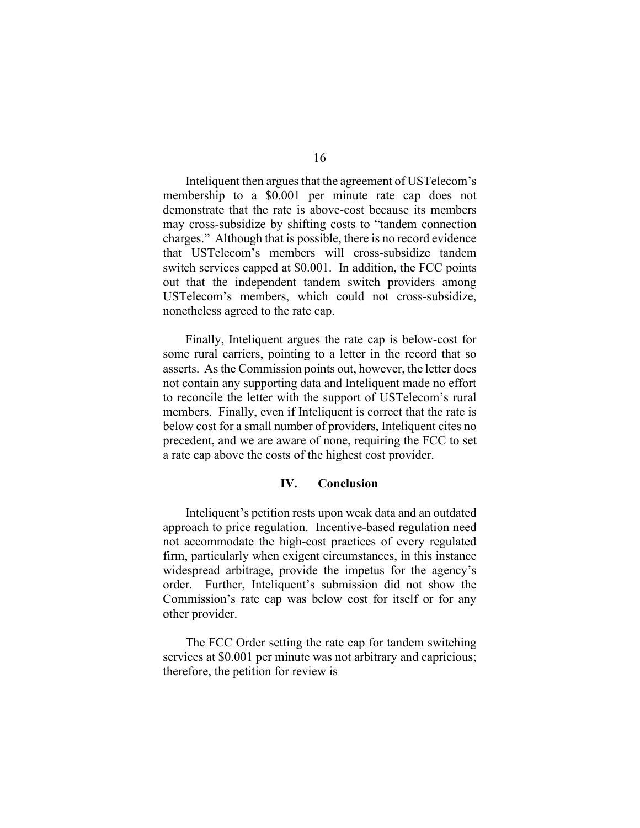Inteliquent then argues that the agreement of USTelecom's membership to a \$0.001 per minute rate cap does not demonstrate that the rate is above-cost because its members may cross-subsidize by shifting costs to "tandem connection charges." Although that is possible, there is no record evidence that USTelecom's members will cross-subsidize tandem switch services capped at \$0.001. In addition, the FCC points out that the independent tandem switch providers among USTelecom's members, which could not cross-subsidize, nonetheless agreed to the rate cap.

Finally, Inteliquent argues the rate cap is below-cost for some rural carriers, pointing to a letter in the record that so asserts. As the Commission points out, however, the letter does not contain any supporting data and Inteliquent made no effort to reconcile the letter with the support of USTelecom's rural members. Finally, even if Inteliquent is correct that the rate is below cost for a small number of providers, Inteliquent cites no precedent, and we are aware of none, requiring the FCC to set a rate cap above the costs of the highest cost provider.

## **IV. Conclusion**

Inteliquent's petition rests upon weak data and an outdated approach to price regulation. Incentive-based regulation need not accommodate the high-cost practices of every regulated firm, particularly when exigent circumstances, in this instance widespread arbitrage, provide the impetus for the agency's order. Further, Inteliquent's submission did not show the Commission's rate cap was below cost for itself or for any other provider.

The FCC Order setting the rate cap for tandem switching services at \$0.001 per minute was not arbitrary and capricious; therefore, the petition for review is